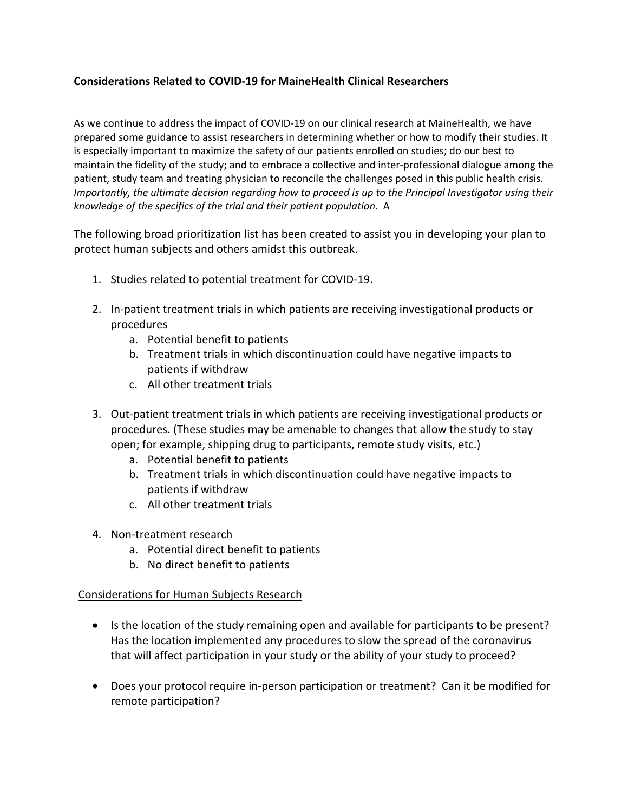## **Considerations Related to COVID‐19 for MaineHealth Clinical Researchers**

As we continue to address the impact of COVID-19 on our clinical research at MaineHealth, we have prepared some guidance to assist researchers in determining whether or how to modify their studies. It is especially important to maximize the safety of our patients enrolled on studies; do our best to maintain the fidelity of the study; and to embrace a collective and inter‐professional dialogue among the patient, study team and treating physician to reconcile the challenges posed in this public health crisis. *Importantly, the ultimate decision regarding how to proceed is up to the Principal Investigator using their knowledge of the specifics of the trial and their patient population.* A

The following broad prioritization list has been created to assist you in developing your plan to protect human subjects and others amidst this outbreak.

- 1. Studies related to potential treatment for COVID‐19.
- 2. In‐patient treatment trials in which patients are receiving investigational products or procedures
	- a. Potential benefit to patients
	- b. Treatment trials in which discontinuation could have negative impacts to patients if withdraw
	- c. All other treatment trials
- 3. Out‐patient treatment trials in which patients are receiving investigational products or procedures. (These studies may be amenable to changes that allow the study to stay open; for example, shipping drug to participants, remote study visits, etc.)
	- a. Potential benefit to patients
	- b. Treatment trials in which discontinuation could have negative impacts to patients if withdraw
	- c. All other treatment trials
- 4. Non‐treatment research
	- a. Potential direct benefit to patients
	- b. No direct benefit to patients

### Considerations for Human Subjects Research

- Is the location of the study remaining open and available for participants to be present? Has the location implemented any procedures to slow the spread of the coronavirus that will affect participation in your study or the ability of your study to proceed?
- Does your protocol require in-person participation or treatment? Can it be modified for remote participation?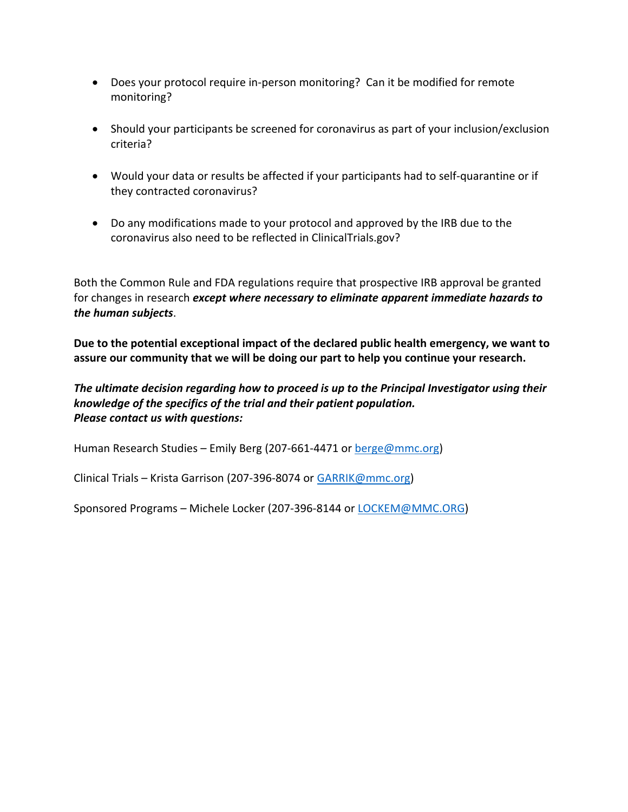- Does your protocol require in-person monitoring? Can it be modified for remote monitoring?
- Should your participants be screened for coronavirus as part of your inclusion/exclusion criteria?
- Would your data or results be affected if your participants had to self-quarantine or if they contracted coronavirus?
- Do any modifications made to your protocol and approved by the IRB due to the coronavirus also need to be reflected in ClinicalTrials.gov?

Both the Common Rule and FDA regulations require that prospective IRB approval be granted for changes in research *except where necessary to eliminate apparent immediate hazards to the human subjects*.

**Due to the potential exceptional impact of the declared public health emergency, we want to assure our community that we will be doing our part to help you continue your research.** 

*The ultimate decision regarding how to proceed is up to the Principal Investigator using their knowledge of the specifics of the trial and their patient population. Please contact us with questions:* 

Human Research Studies – Emily Berg (207-661-4471 or berge@mmc.org)

Clinical Trials – Krista Garrison (207‐396‐8074 or GARRIK@mmc.org)

Sponsored Programs – Michele Locker (207‐396‐8144 or LOCKEM@MMC.ORG)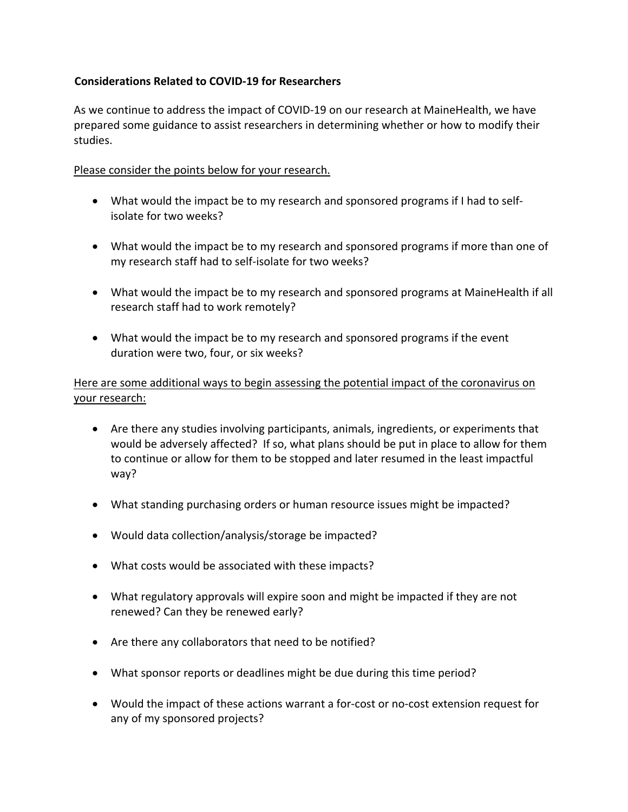## **Considerations Related to COVID‐19 for Researchers**

As we continue to address the impact of COVID‐19 on our research at MaineHealth, we have prepared some guidance to assist researchers in determining whether or how to modify their studies.

#### Please consider the points below for your research.

- What would the impact be to my research and sponsored programs if I had to selfisolate for two weeks?
- What would the impact be to my research and sponsored programs if more than one of my research staff had to self‐isolate for two weeks?
- What would the impact be to my research and sponsored programs at MaineHealth if all research staff had to work remotely?
- What would the impact be to my research and sponsored programs if the event duration were two, four, or six weeks?

## Here are some additional ways to begin assessing the potential impact of the coronavirus on your research:

- Are there any studies involving participants, animals, ingredients, or experiments that would be adversely affected? If so, what plans should be put in place to allow for them to continue or allow for them to be stopped and later resumed in the least impactful way?
- What standing purchasing orders or human resource issues might be impacted?
- Would data collection/analysis/storage be impacted?
- What costs would be associated with these impacts?
- What regulatory approvals will expire soon and might be impacted if they are not renewed? Can they be renewed early?
- Are there any collaborators that need to be notified?
- What sponsor reports or deadlines might be due during this time period?
- Would the impact of these actions warrant a for-cost or no-cost extension request for any of my sponsored projects?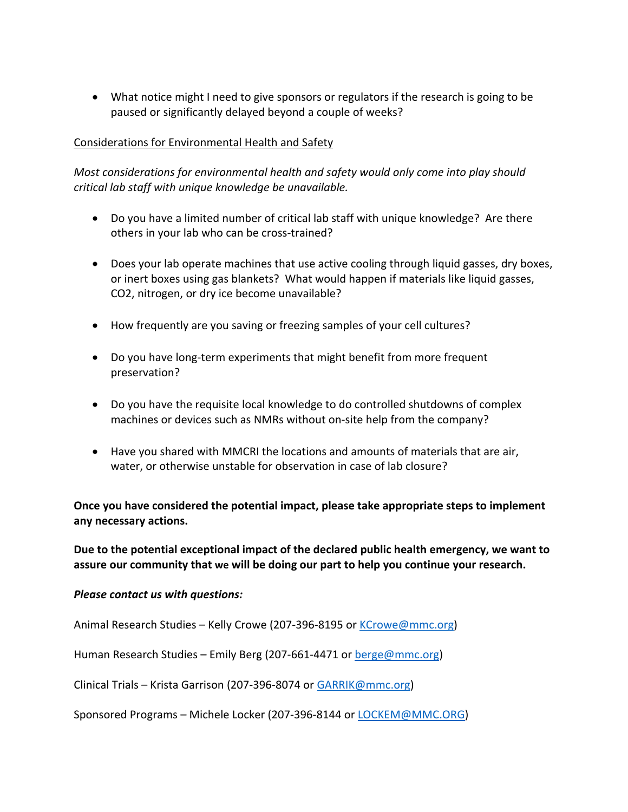What notice might I need to give sponsors or regulators if the research is going to be paused or significantly delayed beyond a couple of weeks?

#### Considerations for Environmental Health and Safety

*Most considerations for environmental health and safety would only come into play should critical lab staff with unique knowledge be unavailable.* 

- Do you have a limited number of critical lab staff with unique knowledge? Are there others in your lab who can be cross-trained?
- Does your lab operate machines that use active cooling through liquid gasses, dry boxes, or inert boxes using gas blankets? What would happen if materials like liquid gasses, CO2, nitrogen, or dry ice become unavailable?
- How frequently are you saving or freezing samples of your cell cultures?
- Do you have long-term experiments that might benefit from more frequent preservation?
- Do you have the requisite local knowledge to do controlled shutdowns of complex machines or devices such as NMRs without on-site help from the company?
- Have you shared with MMCRI the locations and amounts of materials that are air, water, or otherwise unstable for observation in case of lab closure?

**Once you have considered the potential impact, please take appropriate steps to implement any necessary actions.** 

**Due to the potential exceptional impact of the declared public health emergency, we want to assure our community that we will be doing our part to help you continue your research.** 

#### *Please contact us with questions:*

Animal Research Studies – Kelly Crowe (207-396-8195 or KCrowe@mmc.org)

Human Research Studies – Emily Berg (207-661-4471 or berge@mmc.org)

Clinical Trials – Krista Garrison (207‐396‐8074 or GARRIK@mmc.org)

Sponsored Programs – Michele Locker (207-396-8144 or LOCKEM@MMC.ORG)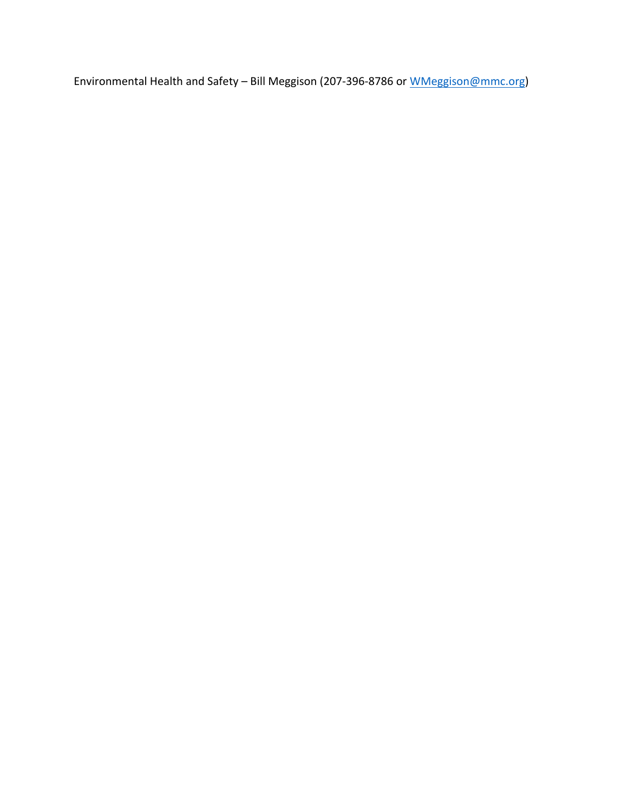Environmental Health and Safety – Bill Meggison (207-396-8786 or WMeggison@mmc.org)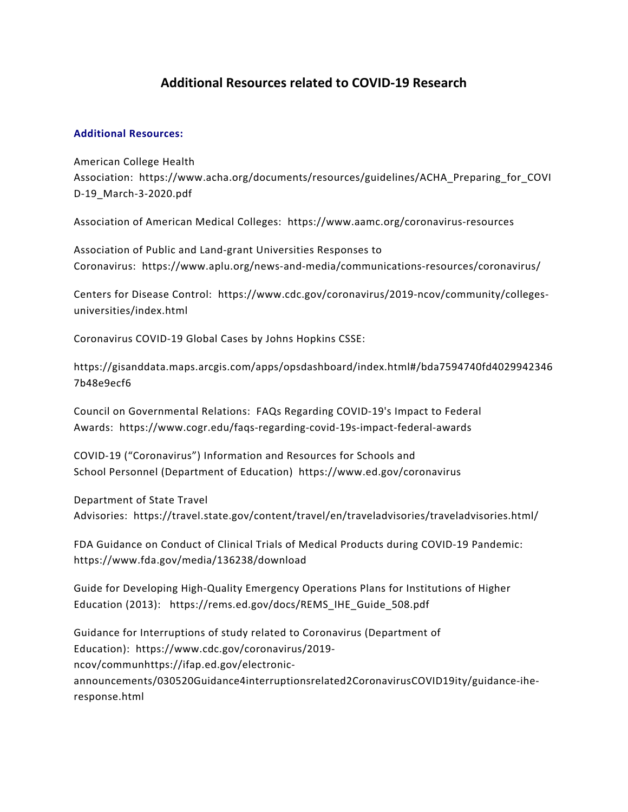# **Additional Resources related to COVID‐19 Research**

#### **Additional Resources:**

American College Health Association: https://www.acha.org/documents/resources/guidelines/ACHA\_Preparing\_for\_COVI D‐19\_March‐3‐2020.pdf

Association of American Medical Colleges: https://www.aamc.org/coronavirus‐resources

Association of Public and Land‐grant Universities Responses to Coronavirus: https://www.aplu.org/news‐and‐media/communications‐resources/coronavirus/

Centers for Disease Control: https://www.cdc.gov/coronavirus/2019‐ncov/community/colleges‐ universities/index.html

Coronavirus COVID‐19 Global Cases by Johns Hopkins CSSE:

https://gisanddata.maps.arcgis.com/apps/opsdashboard/index.html#/bda7594740fd4029942346 7b48e9ecf6

Council on Governmental Relations: FAQs Regarding COVID‐19's Impact to Federal Awards: https://www.cogr.edu/faqs‐regarding‐covid‐19s‐impact‐federal‐awards

COVID‐19 ("Coronavirus") Information and Resources for Schools and School Personnel (Department of Education) https://www.ed.gov/coronavirus

Department of State Travel Advisories: https://travel.state.gov/content/travel/en/traveladvisories/traveladvisories.html/

FDA Guidance on Conduct of Clinical Trials of Medical Products during COVID‐19 Pandemic: https://www.fda.gov/media/136238/download

Guide for Developing High‐Quality Emergency Operations Plans for Institutions of Higher Education (2013): https://rems.ed.gov/docs/REMS\_IHE\_Guide\_508.pdf

Guidance for Interruptions of study related to Coronavirus (Department of Education): https://www.cdc.gov/coronavirus/2019‐ ncov/communhttps://ifap.ed.gov/electronic‐ announcements/030520Guidance4interruptionsrelated2CoronavirusCOVID19ity/guidance-iheresponse.html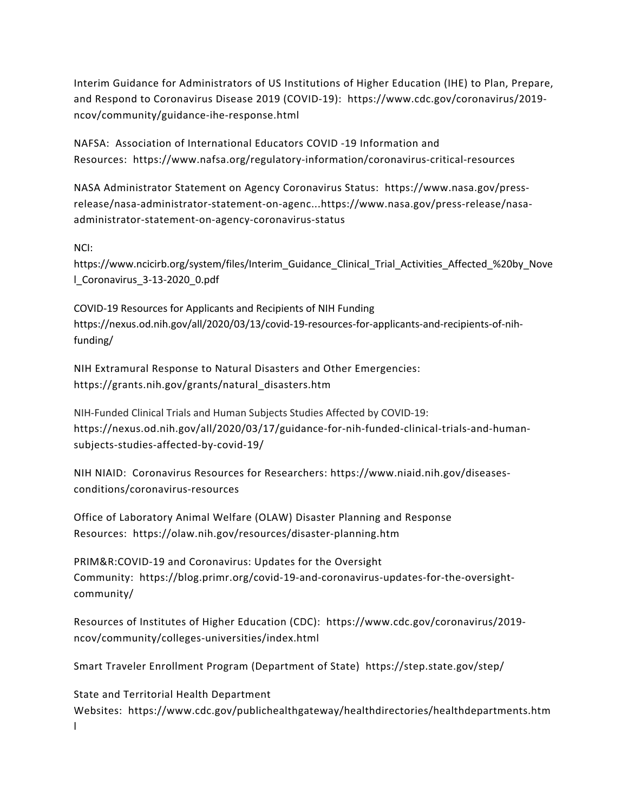Interim Guidance for Administrators of US Institutions of Higher Education (IHE) to Plan, Prepare, and Respond to Coronavirus Disease 2019 (COVID‐19): https://www.cdc.gov/coronavirus/2019‐ ncov/community/guidance‐ihe‐response.html

NAFSA: Association of International Educators COVID ‐19 Information and Resources: https://www.nafsa.org/regulatory‐information/coronavirus‐critical‐resources

NASA Administrator Statement on Agency Coronavirus Status: https://www.nasa.gov/press‐ release/nasa‐administrator‐statement‐on‐agenc...https://www.nasa.gov/press‐release/nasa‐ administrator‐statement‐on‐agency‐coronavirus‐status

NCI:

https://www.ncicirb.org/system/files/Interim\_Guidance\_Clinical\_Trial\_Activities\_Affected\_%20by\_Nove l\_Coronavirus\_3‐13‐2020\_0.pdf

COVID‐19 Resources for Applicants and Recipients of NIH Funding https://nexus.od.nih.gov/all/2020/03/13/covid-19-resources-for-applicants-and-recipients-of-nihfunding/

NIH Extramural Response to Natural Disasters and Other Emergencies: https://grants.nih.gov/grants/natural\_disasters.htm

NIH‐Funded Clinical Trials and Human Subjects Studies Affected by COVID‐19: https://nexus.od.nih.gov/all/2020/03/17/guidance‐for‐nih‐funded‐clinical‐trials‐and‐human‐ subjects‐studies‐affected‐by‐covid‐19/

NIH NIAID: Coronavirus Resources for Researchers: https://www.niaid.nih.gov/diseases‐ conditions/coronavirus‐resources

Office of Laboratory Animal Welfare (OLAW) Disaster Planning and Response Resources: https://olaw.nih.gov/resources/disaster‐planning.htm

PRIM&R:COVID‐19 and Coronavirus: Updates for the Oversight Community: https://blog.primr.org/covid‐19‐and‐coronavirus‐updates‐for‐the‐oversight‐ community/

Resources of Institutes of Higher Education (CDC): https://www.cdc.gov/coronavirus/2019‐ ncov/community/colleges‐universities/index.html

Smart Traveler Enrollment Program (Department of State) https://step.state.gov/step/

State and Territorial Health Department Websites: https://www.cdc.gov/publichealthgateway/healthdirectories/healthdepartments.htm l